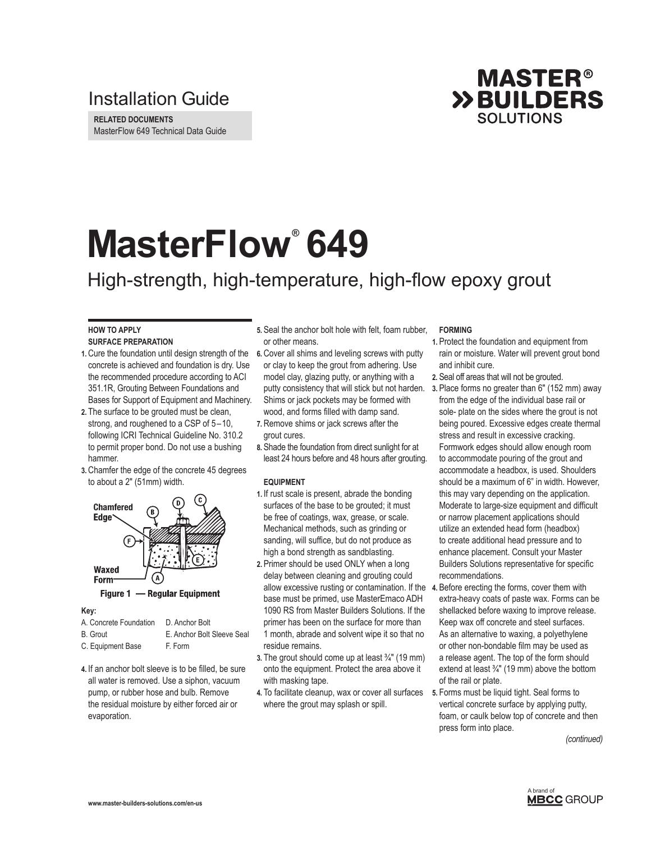### Installation Guide

**RELATED DOCUMENTS** MasterFlow 649 Technical Data Guide



# **MasterFlow® 649**

## High-strength, high-temperature, high-flow epoxy grout

#### **HOW TO APPLY SURFACE PREPARATION**

- **1.** Cure the foundation until design strength of the concrete is achieved and foundation is dry. Use the recommended procedure according to ACI 351.1R, Grouting Between Foundations and Bases for Support of Equipment and Machinery.
- **2.** The surface to be grouted must be clean, strong, and roughened to a CSP of 5–10, following ICRI Technical Guideline No. 310.2 to permit proper bond. Do not use a bushing hammer.
- **3.** Chamfer the edge of the concrete 45 degrees to about a 2" (51mm) width.



Figure 1 - Regular Equipment

#### **Key:**

| A. Concrete Foundation | D. Anchor Bolt             |
|------------------------|----------------------------|
| <b>B.</b> Grout        | E. Anchor Bolt Sleeve Seal |
| C. Equipment Base      | F. Form                    |

**4.** If an anchor bolt sleeve is to be filled, be sure all water is removed. Use a siphon, vacuum pump, or rubber hose and bulb. Remove the residual moisture by either forced air or evaporation.

- **5.** Seal the anchor bolt hole with felt, foam rubber, or other means.
- **6.** Cover all shims and leveling screws with putty or clay to keep the grout from adhering. Use model clay, glazing putty, or anything with a putty consistency that will stick but not harden. Shims or jack pockets may be formed with wood, and forms filled with damp sand.
- **7.** Remove shims or jack screws after the grout cures.
- **8.** Shade the foundation from direct sunlight for at least 24 hours before and 48 hours after grouting.

#### **EQUIPMENT**

- **1.** If rust scale is present, abrade the bonding surfaces of the base to be grouted; it must be free of coatings, wax, grease, or scale. Mechanical methods, such as grinding or sanding, will suffice, but do not produce as high a bond strength as sandblasting.
- allow excessive rusting or contamination. If the 4. Before erecting the forms, cover them with **2.** Primer should be used ONLY when a long delay between cleaning and grouting could base must be primed, use MasterEmaco ADH 1090 RS from Master Builders Solutions. If the primer has been on the surface for more than 1 month, abrade and solvent wipe it so that no residue remains.
- **3.** The grout should come up at least ¾" (19 mm) onto the equipment. Protect the area above it with masking tape.
- **4.** To facilitate cleanup, wax or cover all surfaces where the grout may splash or spill.

#### **FORMING**

- **1.** Protect the foundation and equipment from rain or moisture. Water will prevent grout bond and inhibit cure.
- **2.** Seal off areas that will not be grouted.
- **3.** Place forms no greater than 6" (152 mm) away from the edge of the individual base rail or sole- plate on the sides where the grout is not being poured. Excessive edges create thermal stress and result in excessive cracking. Formwork edges should allow enough room to accommodate pouring of the grout and accommodate a headbox, is used. Shoulders should be a maximum of 6" in width. However, this may vary depending on the application. Moderate to large-size equipment and difficult or narrow placement applications should utilize an extended head form (headbox) to create additional head pressure and to enhance placement. Consult your Master Builders Solutions representative for specific recommendations.
- extra-heavy coats of paste wax. Forms can be shellacked before waxing to improve release. Keep wax off concrete and steel surfaces. As an alternative to waxing, a polyethylene or other non-bondable film may be used as a release agent. The top of the form should extend at least ¾" (19 mm) above the bottom of the rail or plate.
- **5.** Forms must be liquid tight. Seal forms to vertical concrete surface by applying putty, foam, or caulk below top of concrete and then press form into place.

*(continued)*

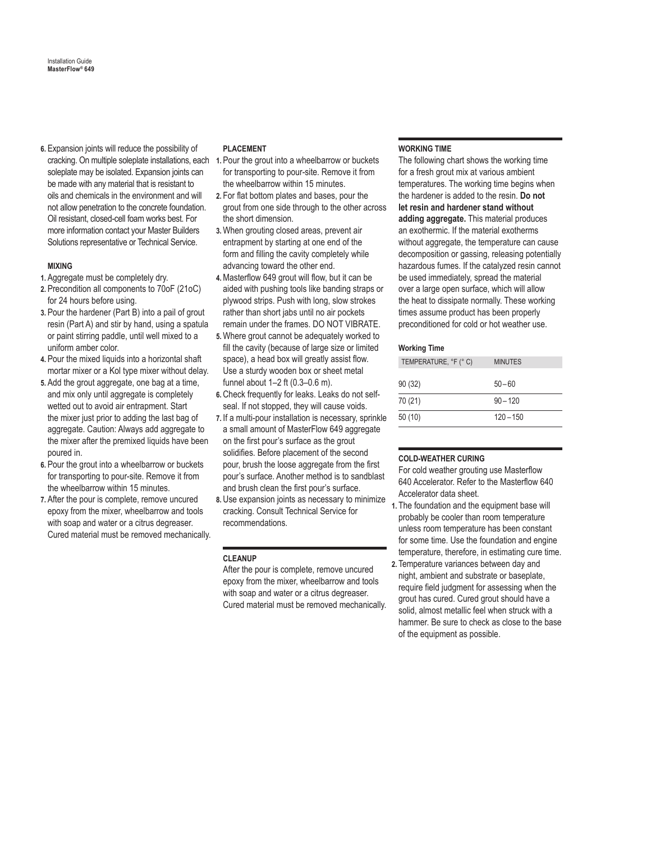**6.** Expansion joints will reduce the possibility of soleplate may be isolated. Expansion joints can be made with any material that is resistant to oils and chemicals in the environment and will not allow penetration to the concrete foundation. Oil resistant, closed-cell foam works best. For more information contact your Master Builders Solutions representative or Technical Service.

#### **MIXING**

- **1.** Aggregate must be completely dry.
- **2.** Precondition all components to 70oF (21oC) for 24 hours before using.
- **3.** Pour the hardener (Part B) into a pail of grout resin (Part A) and stir by hand, using a spatula or paint stirring paddle, until well mixed to a uniform amber color.
- **4.** Pour the mixed liquids into a horizontal shaft mortar mixer or a Kol type mixer without delay.
- **5.** Add the grout aggregate, one bag at a time, and mix only until aggregate is completely wetted out to avoid air entrapment. Start the mixer just prior to adding the last bag of aggregate. Caution: Always add aggregate to the mixer after the premixed liquids have been poured in.
- **6.** Pour the grout into a wheelbarrow or buckets for transporting to pour-site. Remove it from the wheelbarrow within 15 minutes.
- **7.** After the pour is complete, remove uncured epoxy from the mixer, wheelbarrow and tools with soap and water or a citrus degreaser. Cured material must be removed mechanically.

#### **PLACEMENT**

- cracking. On multiple soleplate installations, each 1. Pour the grout into a wheelbarrow or buckets for transporting to pour-site. Remove it from the wheelbarrow within 15 minutes.
	- **2.** For flat bottom plates and bases, pour the grout from one side through to the other across the short dimension.
	- **3.**When grouting closed areas, prevent air entrapment by starting at one end of the form and filling the cavity completely while advancing toward the other end.
	- **4.**Masterflow 649 grout will flow, but it can be aided with pushing tools like banding straps or plywood strips. Push with long, slow strokes rather than short jabs until no air pockets remain under the frames. DO NOT VIBRATE.
	- **5.**Where grout cannot be adequately worked to fill the cavity (because of large size or limited space), a head box will greatly assist flow. Use a sturdy wooden box or sheet metal funnel about 1–2 ft (0.3–0.6 m).
	- **6.** Check frequently for leaks. Leaks do not selfseal. If not stopped, they will cause voids.
	- **7.** If a multi-pour installation is necessary, sprinkle a small amount of MasterFlow 649 aggregate on the first pour's surface as the grout solidifies. Before placement of the second pour, brush the loose aggregate from the first pour's surface. Another method is to sandblast and brush clean the first pour's surface.
	- **8.** Use expansion joints as necessary to minimize cracking. Consult Technical Service for recommendations.

#### **CLEANUP**

After the pour is complete, remove uncured epoxy from the mixer, wheelbarrow and tools with soap and water or a citrus degreaser. Cured material must be removed mechanically.

#### **WORKING TIME**

The following chart shows the working time for a fresh grout mix at various ambient temperatures. The working time begins when the hardener is added to the resin. **Do not let resin and hardener stand without adding aggregate.** This material produces an exothermic. If the material exotherms without aggregate, the temperature can cause decomposition or gassing, releasing potentially hazardous fumes. If the catalyzed resin cannot be used immediately, spread the material over a large open surface, which will allow the heat to dissipate normally. These working times assume product has been properly preconditioned for cold or hot weather use.

#### **Working Time**

| TEMPERATURE, °F (°C) | <b>MINUTES</b> |
|----------------------|----------------|
| 90(32)               | $50 - 60$      |
| 70 (21)              | $90 - 120$     |
| 50(10)               | $120 - 150$    |

#### **COLD-WEATHER CURING**

For cold weather grouting use Masterflow 640 Accelerator. Refer to the Masterflow 640 Accelerator data sheet.

- **1.** The foundation and the equipment base will probably be cooler than room temperature unless room temperature has been constant for some time. Use the foundation and engine temperature, therefore, in estimating cure time.
- **2.** Temperature variances between day and night, ambient and substrate or baseplate, require field judgment for assessing when the grout has cured. Cured grout should have a solid, almost metallic feel when struck with a hammer. Be sure to check as close to the base of the equipment as possible.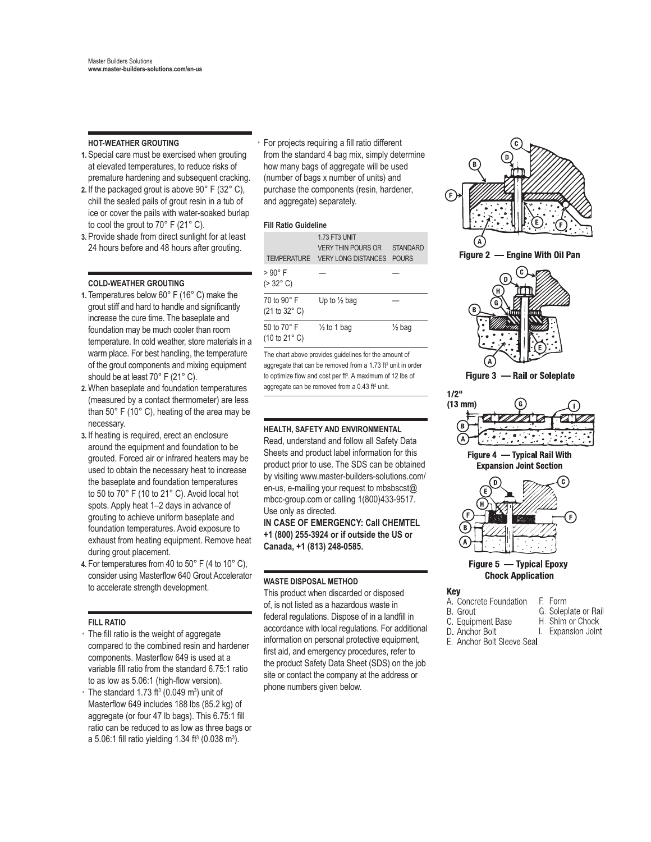#### **HOT-WEATHER GROUTING**

- **1.** Special care must be exercised when grouting at elevated temperatures, to reduce risks of premature hardening and subsequent cracking.
- **2.** If the packaged grout is above 90° F (32° C), chill the sealed pails of grout resin in a tub of ice or cover the pails with water-soaked burlap to cool the grout to 70° F (21° C).
- **3.** Provide shade from direct sunlight for at least 24 hours before and 48 hours after grouting.

#### **COLD-WEATHER GROUTING**

- **1.** Temperatures below 60° F (16° C) make the grout stiff and hard to handle and significantly increase the cure time. The baseplate and foundation may be much cooler than room temperature. In cold weather, store materials in a warm place. For best handling, the temperature of the grout components and mixing equipment should be at least 70° F (21° C).
- **2.**When baseplate and foundation temperatures (measured by a contact thermometer) are less than 50° F (10° C), heating of the area may be necessary.
- **3.** If heating is required, erect an enclosure around the equipment and foundation to be grouted. Forced air or infrared heaters may be used to obtain the necessary heat to increase the baseplate and foundation temperatures to 50 to 70° F (10 to 21° C). Avoid local hot spots. Apply heat 1–2 days in advance of grouting to achieve uniform baseplate and foundation temperatures. Avoid exposure to exhaust from heating equipment. Remove heat during grout placement.
- **4.** For temperatures from 40 to 50° F (4 to 10° C), consider using Masterflow 640 Grout Accelerator to accelerate strength development.

#### **FILL RATIO**

- The fill ratio is the weight of aggregate compared to the combined resin and hardener components. Masterflow 649 is used at a variable fill ratio from the standard 6.75:1 ratio to as low as 5.06:1 (high-flow version).
- $\cdot$  The standard 1.73 ft<sup>3</sup> (0.049 m<sup>3</sup>) unit of Masterflow 649 includes 188 lbs (85.2 kg) of aggregate (or four 47 lb bags). This 6.75:1 fill ratio can be reduced to as low as three bags or a 5.06:1 fill ratio yielding 1.34 ft<sup>3</sup> (0.038 m<sup>3</sup>).

• For projects requiring a fill ratio different from the standard 4 bag mix, simply determine how many bags of aggregate will be used (number of bags x number of units) and purchase the components (resin, hardener, and aggregate) separately.

#### **Fill Ratio Guideline**

| <b>TFMPFRATURF</b>                                     | 173 FT3 UNIT<br><b>VERY THIN POURS OR</b><br><b>VERY LONG DISTANCES</b> | STANDARD<br><b>POURS</b> |
|--------------------------------------------------------|-------------------------------------------------------------------------|--------------------------|
| > 90° F<br>$( > 32^{\circ} \text{ C})$                 |                                                                         |                          |
| 70 to 90° F<br>$(21 to 32^{\circ} C)$                  | Up to $\frac{1}{2}$ bag                                                 |                          |
| 50 to 70° F<br>$(10 \text{ to } 21^{\circ} \text{ C})$ | $\frac{1}{2}$ to 1 bag                                                  | $\frac{1}{2}$ bag        |

The chart above provides guidelines for the amount of aggregate that can be removed from a 1.73 ft<sup>3</sup> unit in order to optimize flow and cost per ft<sup>3</sup>. A maximum of 12 lbs of aggregate can be removed from a  $0.43$  ft<sup>3</sup> unit.

#### **HEALTH, SAFETY AND ENVIRONMENTAL**

Read, understand and follow all Safety Data Sheets and product label information for this product prior to use. The SDS can be obtained by visiting www.master-builders-solutions.com/ en-us, e-mailing your request to mbsbscst@ mbcc-group.com or calling 1(800)433-9517. Use only as directed.

**IN CASE OF EMERGENCY: Call CHEMTEL +1 (800) 255-3924 or if outside the US or Canada, +1 (813) 248-0585.**

#### **WASTE DISPOSAL METHOD**

This product when discarded or disposed of, is not listed as a hazardous waste in federal regulations. Dispose of in a landfill in accordance with local regulations. For additional information on personal protective equipment, first aid, and emergency procedures, refer to the product Safety Data Sheet (SDS) on the job site or contact the company at the address or phone numbers given below.



#### Figure 5 - Typical Epoxy **Chock Application**

| Kev |  |  |  |
|-----|--|--|--|
|     |  |  |  |

A Concrete Foundation F. Form G. Soleplate or Rail **B.** Grout

H. Shim or Chock

- C. Equipment Base
- D. Anchor Bolt I. Expansion Joint
- E. Anchor Bolt Sleeve Seal